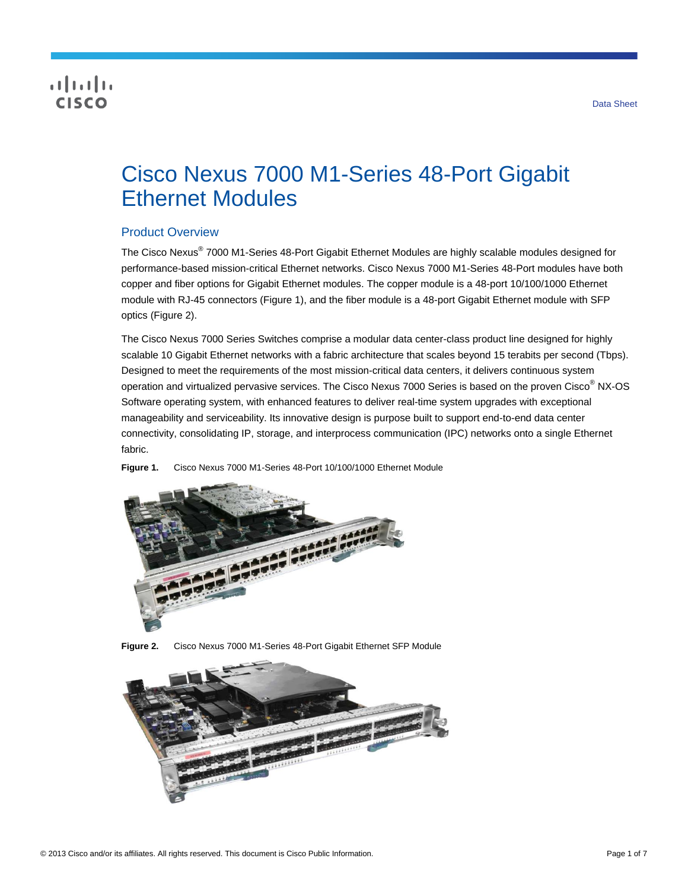# **CISCO**

# Cisco Nexus 7000 M1-Series 48-Port Gigabit Ethernet Modules

## Product Overview

The Cisco Nexus® 7000 M1-Series 48-Port Gigabit Ethernet Modules are highly scalable modules designed for performance-based mission-critical Ethernet networks. Cisco Nexus 7000 M1-Series 48-Port modules have both copper and fiber options for Gigabit Ethernet modules. The copper module is a 48-port 10/100/1000 Ethernet module with RJ-45 connectors (Figure 1), and the fiber module is a 48-port Gigabit Ethernet module with SFP optics (Figure 2).

The Cisco Nexus 7000 Series Switches comprise a modular data center-class product line designed for highly scalable 10 Gigabit Ethernet networks with a fabric architecture that scales beyond 15 terabits per second (Tbps). Designed to meet the requirements of the most mission-critical data centers, it delivers continuous system operation and virtualized pervasive services. The Cisco Nexus 7000 Series is based on the proven Cisco<sup>®</sup> NX-OS Software operating system, with enhanced features to deliver real-time system upgrades with exceptional manageability and serviceability. Its innovative design is purpose built to support end-to-end data center connectivity, consolidating IP, storage, and interprocess communication (IPC) networks onto a single Ethernet fabric.

**Figure 1.** Cisco Nexus 7000 M1-Series 48-Port 10/100/1000 Ethernet Module



**Figure 2.** Cisco Nexus 7000 M1-Series 48-Port Gigabit Ethernet SFP Module

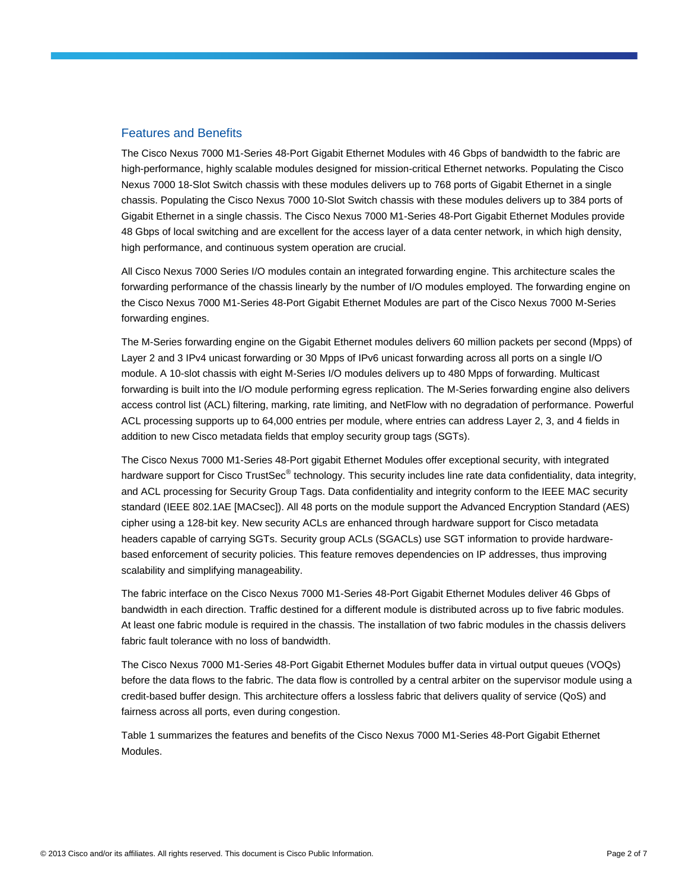#### Features and Benefits

The Cisco Nexus 7000 M1-Series 48-Port Gigabit Ethernet Modules with 46 Gbps of bandwidth to the fabric are high-performance, highly scalable modules designed for mission-critical Ethernet networks. Populating the Cisco Nexus 7000 18-Slot Switch chassis with these modules delivers up to 768 ports of Gigabit Ethernet in a single chassis. Populating the Cisco Nexus 7000 10-Slot Switch chassis with these modules delivers up to 384 ports of Gigabit Ethernet in a single chassis. The Cisco Nexus 7000 M1-Series 48-Port Gigabit Ethernet Modules provide 48 Gbps of local switching and are excellent for the access layer of a data center network, in which high density, high performance, and continuous system operation are crucial.

All Cisco Nexus 7000 Series I/O modules contain an integrated forwarding engine. This architecture scales the forwarding performance of the chassis linearly by the number of I/O modules employed. The forwarding engine on the Cisco Nexus 7000 M1-Series 48-Port Gigabit Ethernet Modules are part of the Cisco Nexus 7000 M-Series forwarding engines.

The M-Series forwarding engine on the Gigabit Ethernet modules delivers 60 million packets per second (Mpps) of Layer 2 and 3 IPv4 unicast forwarding or 30 Mpps of IPv6 unicast forwarding across all ports on a single I/O module. A 10-slot chassis with eight M-Series I/O modules delivers up to 480 Mpps of forwarding. Multicast forwarding is built into the I/O module performing egress replication. The M-Series forwarding engine also delivers access control list (ACL) filtering, marking, rate limiting, and NetFlow with no degradation of performance. Powerful ACL processing supports up to 64,000 entries per module, where entries can address Layer 2, 3, and 4 fields in addition to new Cisco metadata fields that employ security group tags (SGTs).

The Cisco Nexus 7000 M1-Series 48-Port gigabit Ethernet Modules offer exceptional security, with integrated hardware support for Cisco TrustSec<sup>®</sup> technology. This security includes line rate data confidentiality, data integrity, and ACL processing for Security Group Tags. Data confidentiality and integrity conform to the IEEE MAC security standard (IEEE 802.1AE [MACsec]). All 48 ports on the module support the Advanced Encryption Standard (AES) cipher using a 128-bit key. New security ACLs are enhanced through hardware support for Cisco metadata headers capable of carrying SGTs. Security group ACLs (SGACLs) use SGT information to provide hardwarebased enforcement of security policies. This feature removes dependencies on IP addresses, thus improving scalability and simplifying manageability.

The fabric interface on the Cisco Nexus 7000 M1-Series 48-Port Gigabit Ethernet Modules deliver 46 Gbps of bandwidth in each direction. Traffic destined for a different module is distributed across up to five fabric modules. At least one fabric module is required in the chassis. The installation of two fabric modules in the chassis delivers fabric fault tolerance with no loss of bandwidth.

The Cisco Nexus 7000 M1-Series 48-Port Gigabit Ethernet Modules buffer data in virtual output queues (VOQs) before the data flows to the fabric. The data flow is controlled by a central arbiter on the supervisor module using a credit-based buffer design. This architecture offers a lossless fabric that delivers quality of service (QoS) and fairness across all ports, even during congestion.

Table 1 summarizes the features and benefits of the Cisco Nexus 7000 M1-Series 48-Port Gigabit Ethernet Modules.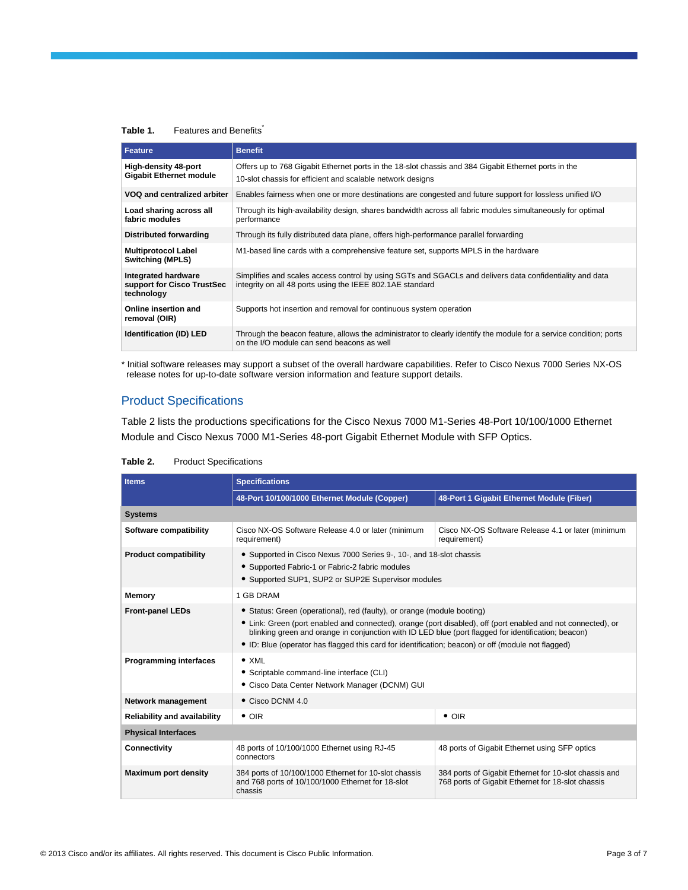#### Table 1. Features and Benefits<sup>\*</sup>

| <b>Feature</b>                                                  | <b>Benefit</b>                                                                                                                                                        |
|-----------------------------------------------------------------|-----------------------------------------------------------------------------------------------------------------------------------------------------------------------|
| <b>High-density 48-port</b><br><b>Gigabit Ethernet module</b>   | Offers up to 768 Gigabit Ethernet ports in the 18-slot chassis and 384 Gigabit Ethernet ports in the<br>10-slot chassis for efficient and scalable network designs    |
| VOQ and centralized arbiter                                     | Enables fairness when one or more destinations are congested and future support for lossless unified I/O                                                              |
| Load sharing across all<br>fabric modules                       | Through its high-availability design, shares bandwidth across all fabric modules simultaneously for optimal<br>performance                                            |
| Distributed forwarding                                          | Through its fully distributed data plane, offers high-performance parallel forwarding                                                                                 |
| <b>Multiprotocol Label</b><br><b>Switching (MPLS)</b>           | M1-based line cards with a comprehensive feature set, supports MPLS in the hardware                                                                                   |
| Integrated hardware<br>support for Cisco TrustSec<br>technology | Simplifies and scales access control by using SGTs and SGACLs and delivers data confidentiality and data<br>integrity on all 48 ports using the IEEE 802.1AE standard |
| Online insertion and<br>removal (OIR)                           | Supports hot insertion and removal for continuous system operation                                                                                                    |
| Identification (ID) LED                                         | Through the beacon feature, allows the administrator to clearly identify the module for a service condition; ports<br>on the I/O module can send beacons as well      |

\* Initial software releases may support a subset of the overall hardware capabilities. Refer to Cisco Nexus 7000 Series NX-OS release notes for up-to-date software version information and feature support details.

## Product Specifications

Table 2 lists the productions specifications for the Cisco Nexus 7000 M1-Series 48-Port 10/100/1000 Ethernet Module and Cisco Nexus 7000 M1-Series 48-port Gigabit Ethernet Module with SFP Optics.

| <b>Items</b>                        | <b>Specifications</b>                                                                                                                                                                                                                                                                                                                                                                                |                                                                                                            |  |
|-------------------------------------|------------------------------------------------------------------------------------------------------------------------------------------------------------------------------------------------------------------------------------------------------------------------------------------------------------------------------------------------------------------------------------------------------|------------------------------------------------------------------------------------------------------------|--|
|                                     | 48-Port 10/100/1000 Ethernet Module (Copper)                                                                                                                                                                                                                                                                                                                                                         | 48-Port 1 Gigabit Ethernet Module (Fiber)                                                                  |  |
| <b>Systems</b>                      |                                                                                                                                                                                                                                                                                                                                                                                                      |                                                                                                            |  |
| Software compatibility              | Cisco NX-OS Software Release 4.0 or later (minimum<br>requirement)                                                                                                                                                                                                                                                                                                                                   | Cisco NX-OS Software Release 4.1 or later (minimum<br>requirement)                                         |  |
| <b>Product compatibility</b>        | • Supported in Cisco Nexus 7000 Series 9-, 10-, and 18-slot chassis<br>• Supported Fabric-1 or Fabric-2 fabric modules<br>• Supported SUP1, SUP2 or SUP2E Supervisor modules                                                                                                                                                                                                                         |                                                                                                            |  |
| Memory                              | 1 GB DRAM                                                                                                                                                                                                                                                                                                                                                                                            |                                                                                                            |  |
| <b>Front-panel LEDs</b>             | • Status: Green (operational), red (faulty), or orange (module booting)<br>• Link: Green (port enabled and connected), orange (port disabled), off (port enabled and not connected), or<br>blinking green and orange in conjunction with ID LED blue (port flagged for identification; beacon)<br>• ID: Blue (operator has flagged this card for identification; beacon) or off (module not flagged) |                                                                                                            |  |
| <b>Programming interfaces</b>       | $\bullet$ XML<br>• Scriptable command-line interface (CLI)<br>• Cisco Data Center Network Manager (DCNM) GUI                                                                                                                                                                                                                                                                                         |                                                                                                            |  |
| Network management                  | • Cisco DCNM 4.0                                                                                                                                                                                                                                                                                                                                                                                     |                                                                                                            |  |
| <b>Reliability and availability</b> | $\bullet$ OIR                                                                                                                                                                                                                                                                                                                                                                                        | $\bullet$ OIR                                                                                              |  |
| <b>Physical Interfaces</b>          |                                                                                                                                                                                                                                                                                                                                                                                                      |                                                                                                            |  |
| Connectivity                        | 48 ports of 10/100/1000 Ethernet using RJ-45<br>connectors                                                                                                                                                                                                                                                                                                                                           | 48 ports of Gigabit Ethernet using SFP optics                                                              |  |
| <b>Maximum port density</b>         | 384 ports of 10/100/1000 Ethernet for 10-slot chassis<br>and 768 ports of 10/100/1000 Ethernet for 18-slot<br>chassis                                                                                                                                                                                                                                                                                | 384 ports of Gigabit Ethernet for 10-slot chassis and<br>768 ports of Gigabit Ethernet for 18-slot chassis |  |

#### **Table 2.** Product Specifications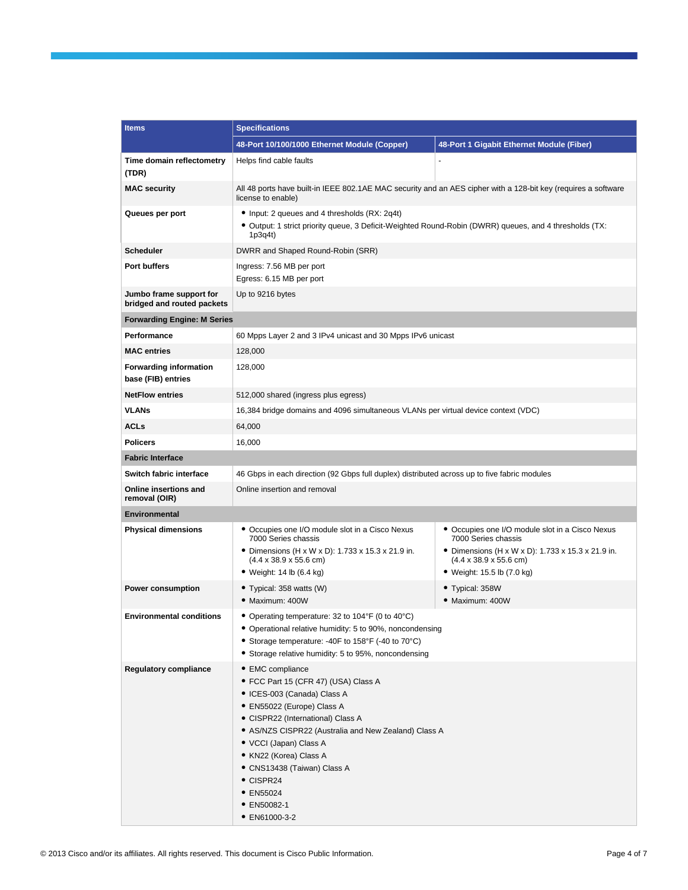| <b>Items</b>                                          | <b>Specifications</b>                                                                                                                                                                                                                                                                                                                                           |                                                                                                                                                                                                              |  |
|-------------------------------------------------------|-----------------------------------------------------------------------------------------------------------------------------------------------------------------------------------------------------------------------------------------------------------------------------------------------------------------------------------------------------------------|--------------------------------------------------------------------------------------------------------------------------------------------------------------------------------------------------------------|--|
|                                                       | 48-Port 10/100/1000 Ethernet Module (Copper)<br>48-Port 1 Gigabit Ethernet Module (Fiber)                                                                                                                                                                                                                                                                       |                                                                                                                                                                                                              |  |
| Time domain reflectometry<br>(TDR)                    | Helps find cable faults                                                                                                                                                                                                                                                                                                                                         | ä,                                                                                                                                                                                                           |  |
| <b>MAC security</b>                                   | All 48 ports have built-in IEEE 802.1AE MAC security and an AES cipher with a 128-bit key (requires a software<br>license to enable)                                                                                                                                                                                                                            |                                                                                                                                                                                                              |  |
| Queues per port                                       | • Input: 2 queues and 4 thresholds (RX: 2q4t)<br>• Output: 1 strict priority queue, 3 Deficit-Weighted Round-Robin (DWRR) queues, and 4 thresholds (TX:<br>1p3q4t)                                                                                                                                                                                              |                                                                                                                                                                                                              |  |
| <b>Scheduler</b>                                      | DWRR and Shaped Round-Robin (SRR)                                                                                                                                                                                                                                                                                                                               |                                                                                                                                                                                                              |  |
| <b>Port buffers</b>                                   | Ingress: 7.56 MB per port<br>Egress: 6.15 MB per port                                                                                                                                                                                                                                                                                                           |                                                                                                                                                                                                              |  |
| Jumbo frame support for<br>bridged and routed packets | Up to 9216 bytes                                                                                                                                                                                                                                                                                                                                                |                                                                                                                                                                                                              |  |
| <b>Forwarding Engine: M Series</b>                    |                                                                                                                                                                                                                                                                                                                                                                 |                                                                                                                                                                                                              |  |
| Performance                                           | 60 Mpps Layer 2 and 3 IPv4 unicast and 30 Mpps IPv6 unicast                                                                                                                                                                                                                                                                                                     |                                                                                                                                                                                                              |  |
| <b>MAC entries</b>                                    | 128,000                                                                                                                                                                                                                                                                                                                                                         |                                                                                                                                                                                                              |  |
| <b>Forwarding information</b><br>base (FIB) entries   | 128,000                                                                                                                                                                                                                                                                                                                                                         |                                                                                                                                                                                                              |  |
| <b>NetFlow entries</b>                                | 512,000 shared (ingress plus egress)                                                                                                                                                                                                                                                                                                                            |                                                                                                                                                                                                              |  |
| <b>VLANs</b>                                          | 16,384 bridge domains and 4096 simultaneous VLANs per virtual device context (VDC)                                                                                                                                                                                                                                                                              |                                                                                                                                                                                                              |  |
| <b>ACLs</b>                                           | 64,000                                                                                                                                                                                                                                                                                                                                                          |                                                                                                                                                                                                              |  |
| <b>Policers</b>                                       | 16,000                                                                                                                                                                                                                                                                                                                                                          |                                                                                                                                                                                                              |  |
| <b>Fabric Interface</b>                               |                                                                                                                                                                                                                                                                                                                                                                 |                                                                                                                                                                                                              |  |
| Switch fabric interface                               | 46 Gbps in each direction (92 Gbps full duplex) distributed across up to five fabric modules                                                                                                                                                                                                                                                                    |                                                                                                                                                                                                              |  |
| Online insertions and<br>removal (OIR)                | Online insertion and removal                                                                                                                                                                                                                                                                                                                                    |                                                                                                                                                                                                              |  |
| <b>Environmental</b>                                  |                                                                                                                                                                                                                                                                                                                                                                 |                                                                                                                                                                                                              |  |
| <b>Physical dimensions</b>                            | • Occupies one I/O module slot in a Cisco Nexus<br>7000 Series chassis<br>• Dimensions $(H \times W \times D)$ : 1.733 x 15.3 x 21.9 in.<br>$(4.4 \times 38.9 \times 55.6$ cm)<br>$\bullet$ Weight: 14 lb (6.4 kg)                                                                                                                                              | • Occupies one I/O module slot in a Cisco Nexus<br>7000 Series chassis<br>• Dimensions $(H \times W \times D)$ : 1.733 x 15.3 x 21.9 in.<br>$(4.4 \times 38.9 \times 55.6$ cm)<br>• Weight: 15.5 lb (7.0 kg) |  |
| <b>Power consumption</b>                              | • Typical: 358 watts (W)<br>· Maximum: 400W                                                                                                                                                                                                                                                                                                                     | • Typical: 358W<br>· Maximum: 400W                                                                                                                                                                           |  |
| <b>Environmental conditions</b>                       | • Operating temperature: 32 to 104°F (0 to 40°C)<br>• Operational relative humidity: 5 to 90%, noncondensing<br>• Storage temperature: -40F to 158°F (-40 to 70°C)<br>• Storage relative humidity: 5 to 95%, noncondensing                                                                                                                                      |                                                                                                                                                                                                              |  |
| <b>Regulatory compliance</b>                          | • EMC compliance<br>• FCC Part 15 (CFR 47) (USA) Class A<br>• ICES-003 (Canada) Class A<br>• EN55022 (Europe) Class A<br>• CISPR22 (International) Class A<br>• AS/NZS CISPR22 (Australia and New Zealand) Class A<br>• VCCI (Japan) Class A<br>• KN22 (Korea) Class A<br>• CNS13438 (Taiwan) Class A<br>• CISPR24<br>• EN55024<br>• EN50082-1<br>• EN61000-3-2 |                                                                                                                                                                                                              |  |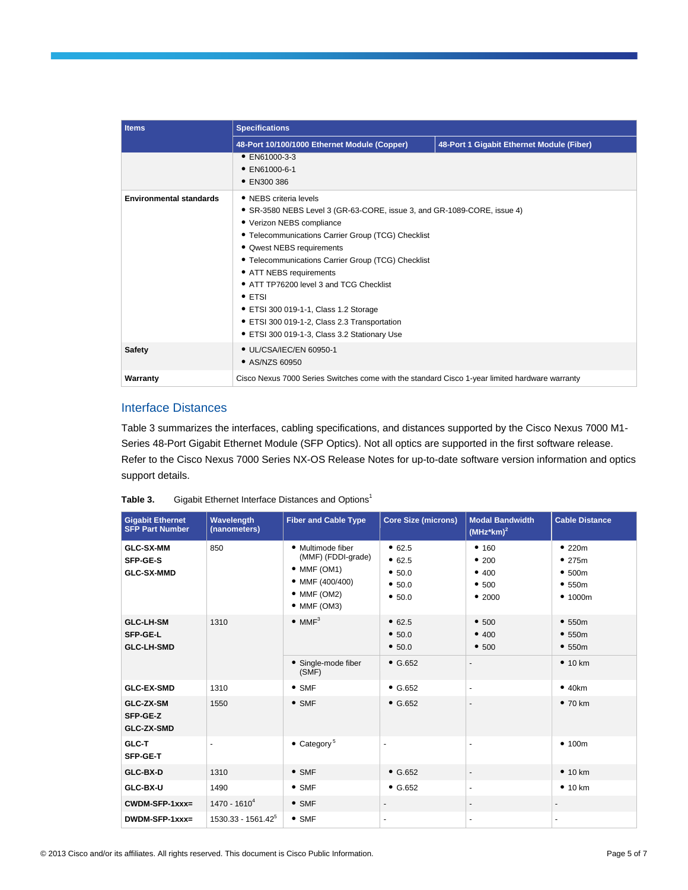| <b>Items</b>                   | <b>Specifications</b>                                                                                                                                                                                                                                                                                                                                                                                                                                                                                    |                                           |  |
|--------------------------------|----------------------------------------------------------------------------------------------------------------------------------------------------------------------------------------------------------------------------------------------------------------------------------------------------------------------------------------------------------------------------------------------------------------------------------------------------------------------------------------------------------|-------------------------------------------|--|
|                                | 48-Port 10/100/1000 Ethernet Module (Copper)                                                                                                                                                                                                                                                                                                                                                                                                                                                             | 48-Port 1 Gigabit Ethernet Module (Fiber) |  |
|                                | • EN61000-3-3<br>$\bullet$ EN61000-6-1<br>• EN300 386                                                                                                                                                                                                                                                                                                                                                                                                                                                    |                                           |  |
| <b>Environmental standards</b> | • NEBS criteria levels<br>• SR-3580 NEBS Level 3 (GR-63-CORE, issue 3, and GR-1089-CORE, issue 4)<br>• Verizon NEBS compliance<br>• Telecommunications Carrier Group (TCG) Checklist<br>• Qwest NEBS requirements<br>• Telecommunications Carrier Group (TCG) Checklist<br>• ATT NEBS requirements<br>• ATT TP76200 level 3 and TCG Checklist<br>$\bullet$ ETSI<br>• ETSI 300 019-1-1, Class 1.2 Storage<br>• ETSI 300 019-1-2, Class 2.3 Transportation<br>• ETSI 300 019-1-3, Class 3.2 Stationary Use |                                           |  |
| <b>Safety</b>                  | • UL/CSA/IEC/EN 60950-1<br>• AS/NZS 60950                                                                                                                                                                                                                                                                                                                                                                                                                                                                |                                           |  |
| Warranty                       | Cisco Nexus 7000 Series Switches come with the standard Cisco 1-year limited hardware warranty                                                                                                                                                                                                                                                                                                                                                                                                           |                                           |  |

# Interface Distances

Table 3 summarizes the interfaces, cabling specifications, and distances supported by the Cisco Nexus 7000 M1- Series 48-Port Gigabit Ethernet Module (SFP Optics). Not all optics are supported in the first software release. Refer to the Cisco Nexus 7000 Series NX-OS Release Notes for up-to-date software version information and optics support details.

| Table 3. | Gigabit Ethernet Interface Distances and Options <sup>1</sup> |
|----------|---------------------------------------------------------------|
|----------|---------------------------------------------------------------|

| <b>Gigabit Ethernet</b><br><b>SFP Part Number</b>        | Wavelength<br>(nanometers) | <b>Fiber and Cable Type</b>                                                                                   | <b>Core Size (microns)</b>                     | <b>Modal Bandwidth</b><br>$(MHz*km)^2$   | <b>Cable Distance</b>                       |
|----------------------------------------------------------|----------------------------|---------------------------------------------------------------------------------------------------------------|------------------------------------------------|------------------------------------------|---------------------------------------------|
| <b>GLC-SX-MM</b><br>SFP-GE-S<br><b>GLC-SX-MMD</b>        | 850                        | • Multimode fiber<br>(MMF) (FDDI-grade)<br>$•$ MMF (OM1)<br>• MMF (400/400)<br>$•$ MMF (OM2)<br>$•$ MMF (OM3) | • 62.5<br>• 62.5<br>• 50.0<br>• 50.0<br>• 50.0 | • 160<br>•200<br>• 400<br>•500<br>• 2000 | •220m<br>•275m<br>•500m<br>•550m<br>• 1000m |
| <b>GLC-LH-SM</b><br><b>SFP-GE-L</b><br><b>GLC-LH-SMD</b> | 1310                       | $\bullet$ MMF <sup>3</sup>                                                                                    | • 62.5<br>• 50.0<br>• 50.0                     | • 500<br>• 400<br>• 500                  | •550m<br>•550m<br>•550m                     |
|                                                          |                            | • Single-mode fiber<br>(SMF)                                                                                  | $\bullet$ G.652                                | $\blacksquare$                           | • 10 km                                     |
| <b>GLC-EX-SMD</b>                                        | 1310                       | $\bullet$ SMF                                                                                                 | $\bullet$ G.652                                | $\blacksquare$                           | •40km                                       |
| GLC-ZX-SM<br>SFP-GE-Z<br><b>GLC-ZX-SMD</b>               | 1550                       | $\bullet$ SMF                                                                                                 | $\bullet$ G.652                                | $\blacksquare$                           | •70 km                                      |
| GLC-T<br>SFP-GE-T                                        | $\blacksquare$             | $\bullet$ Category <sup>5</sup>                                                                               | $\overline{\phantom{a}}$                       |                                          | • 100m                                      |
| GLC-BX-D                                                 | 1310                       | $\bullet$ SMF                                                                                                 | $\bullet$ G.652                                | $\overline{\phantom{a}}$                 | • 10 km                                     |
| GLC-BX-U                                                 | 1490                       | $\bullet$ SMF                                                                                                 | $\bullet$ G.652                                | $\overline{\phantom{a}}$                 | • 10 km                                     |
| $CWDM-SFP-1xxx=$                                         | $1470 - 1610^{4}$          | $\bullet$ SMF                                                                                                 |                                                |                                          |                                             |
| DWDM-SFP-1xxx=                                           | $1530.33 - 1561.42^5$      | $\bullet$ SMF                                                                                                 | ٠                                              | $\blacksquare$                           | $\overline{\phantom{a}}$                    |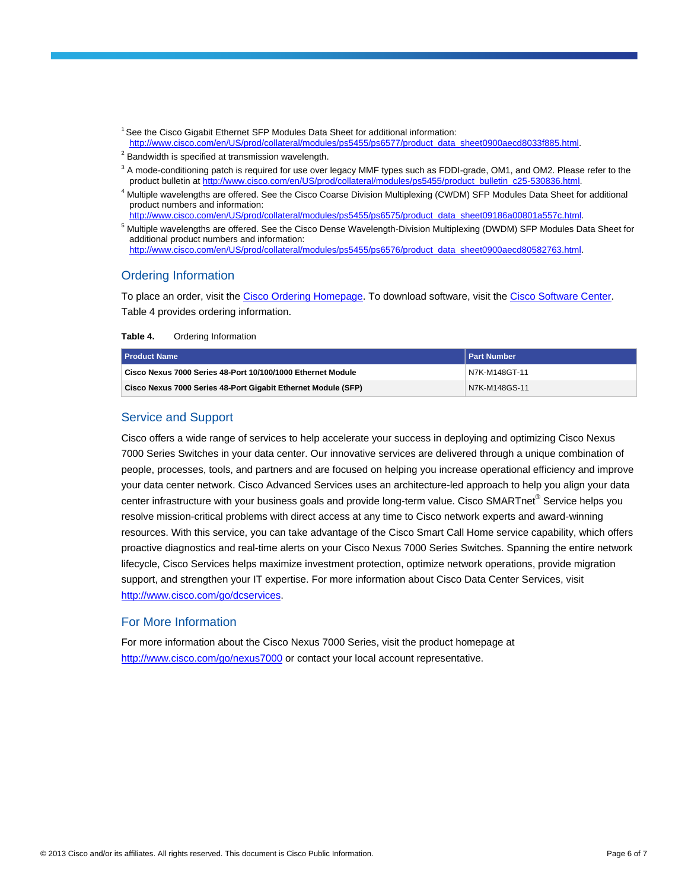- <sup>1</sup> See the Cisco Gigabit Ethernet SFP Modules Data Sheet for additional information: [http://www.cisco.com/en/US/prod/collateral/modules/ps5455/ps6577/product\\_data\\_sheet0900aecd8033f885.html.](http://www.cisco.com/en/US/prod/collateral/modules/ps5455/ps6577/product_data_sheet0900aecd8033f885.html)
- $2$  Bandwidth is specified at transmission wavelength.
- $3$  A mode-conditioning patch is required for use over legacy MMF types such as FDDI-grade, OM1, and OM2. Please refer to the product bulletin a[t http://www.cisco.com/en/US/prod/collateral/modules/ps5455/product\\_bulletin\\_c25-530836.html.](http://www.cisco.com/en/US/prod/collateral/modules/ps5455/product_bulletin_c25-530836.html)
- <sup>4</sup> Multiple wavelengths are offered. See the Cisco Coarse Division Multiplexing (CWDM) SFP Modules Data Sheet for additional product numbers and information: [http://www.cisco.com/en/US/prod/collateral/modules/ps5455/ps6575/product\\_data\\_sheet09186a00801a557c.html.](http://www.cisco.com/en/US/prod/collateral/modules/ps5455/ps6575/product_data_sheet09186a00801a557c.html)
- <sup>5</sup> Multiple wavelengths are offered. See the Cisco Dense Wavelength-Division Multiplexing (DWDM) SFP Modules Data Sheet for additional product numbers and information: [http://www.cisco.com/en/US/prod/collateral/modules/ps5455/ps6576/product\\_data\\_sheet0900aecd80582763.html.](http://www.cisco.com/en/US/prod/collateral/modules/ps5455/ps6576/product_data_sheet0900aecd80582763.html)

#### Ordering Information

To place an order, visit th[e Cisco Ordering Homepage.](http://www.cisco.com/en/US/ordering/index.shtml) To download software, visit the [Cisco Software Center.](http://www.cisco.com/public/sw-center/index.shtml) Table 4 provides ordering information.

| Table 4. | Ordering Information |  |
|----------|----------------------|--|
|          |                      |  |

| <b>Product Name</b>                                           | l Part Number |
|---------------------------------------------------------------|---------------|
| Cisco Nexus 7000 Series 48-Port 10/100/1000 Ethernet Module   | N7K-M148GT-11 |
| Cisco Nexus 7000 Series 48-Port Gigabit Ethernet Module (SFP) | N7K-M148GS-11 |

# Service and Support

Cisco offers a wide range of services to help accelerate your success in deploying and optimizing Cisco Nexus 7000 Series Switches in your data center. Our innovative services are delivered through a unique combination of people, processes, tools, and partners and are focused on helping you increase operational efficiency and improve your data center network. Cisco Advanced Services uses an architecture-led approach to help you align your data center infrastructure with your business goals and provide long-term value. Cisco SMARTnet® Service helps you resolve mission-critical problems with direct access at any time to Cisco network experts and award-winning resources. With this service, you can take advantage of the Cisco Smart Call Home service capability, which offers proactive diagnostics and real-time alerts on your Cisco Nexus 7000 Series Switches. Spanning the entire network lifecycle, Cisco Services helps maximize investment protection, optimize network operations, provide migration support, and strengthen your IT expertise. For more information about Cisco Data Center Services, visit [http://www.cisco.com/go/dcservices.](http://www.cisco.com/go/dcservices)

#### For More Information

For more information about the Cisco Nexus 7000 Series, visit the product homepage at <http://www.cisco.com/go/nexus7000> or contact your local account representative.